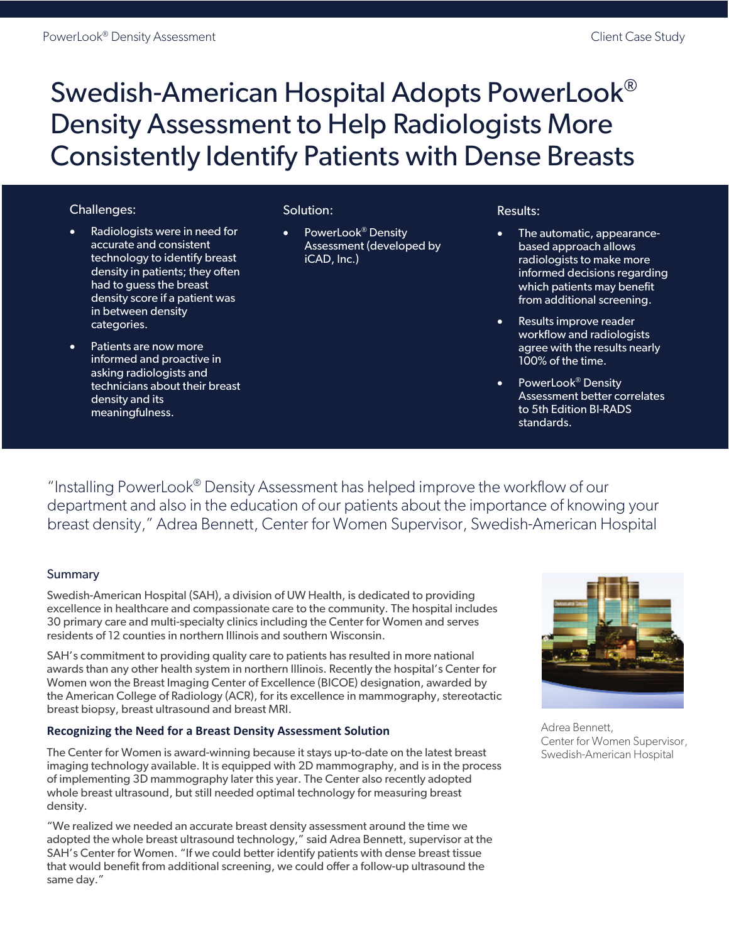# Swedish-American Hospital Adopts PowerLook® Density Assessment to Help Radiologists More Consistently Identify Patients with Dense Breasts

## Challenges:

- Radiologists were in need for accurate and consistent technology to identify breast density in patients; they often had to guess the breast density score if a patient was in between density categories.
- Patients are now more informed and proactive in asking radiologists and technicians about their breast density and its meaningfulness.

#### Solution:

• PowerLook® Density Assessment (developed by iCAD, Inc.)

#### Results:

- The automatic, appearancebased approach allows radiologists to make more informed decisions regarding which patients may benefit from additional screening.
- Results improve reader workflow and radiologists agree with the results nearly 100% of the time.
- PowerLook<sup>®</sup> Density Assessment better correlates to 5th Edition BI-RADS standards.

"Installing PowerLook® Density Assessment has helped improve the workflow of our department and also in the education of our patients about the importance of knowing your breast density," Adrea Bennett, Center for Women Supervisor, Swedish-American Hospital

## Summary

Swedish-American Hospital (SAH), a division of UW Health, is dedicated to providing excellence in healthcare and compassionate care to the community. The hospital includes 30 primary care and multi-specialty clinics including the Center for Women and serves residents of 12 counties in northern Illinois and southern Wisconsin.

SAH's commitment to providing quality care to patients has resulted in more national awards than any other health system in northern Illinois. Recently the hospital's Center for Women won the Breast Imaging Center of Excellence (BICOE) designation, awarded by the American College of Radiology (ACR), for its excellence in mammography, stereotactic breast biopsy, breast ultrasound and breast MRI.

#### **Recognizing the Need for a Breast Density Assessment Solution**

The Center for Women is award-winning because it stays up-to-date on the latest breast imaging technology available. It is equipped with 2D mammography, and is in the process of implementing 3D mammography later this year. The Center also recently adopted whole breast ultrasound, but still needed optimal technology for measuring breast density.

"We realized we needed an accurate breast density assessment around the time we adopted the whole breast ultrasound technology," said Adrea Bennett, supervisor at the SAH's Center for Women. "If we could better identify patients with dense breast tissue that would benefit from additional screening, we could offer a follow-up ultrasound the same day."



Adrea Bennett, Center for Women Supervisor, Swedish-American Hospital